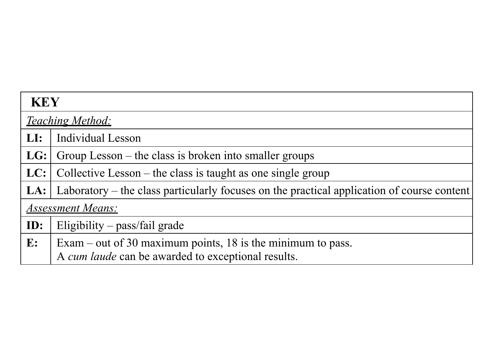| <b>KEY</b>               |                                                                                            |  |  |  |  |  |
|--------------------------|--------------------------------------------------------------------------------------------|--|--|--|--|--|
|                          | <b>Teaching Method:</b>                                                                    |  |  |  |  |  |
| LI:                      | Individual Lesson                                                                          |  |  |  |  |  |
| LG:                      | Group Lesson – the class is broken into smaller groups                                     |  |  |  |  |  |
| LC:                      | Collective Lesson – the class is taught as one single group                                |  |  |  |  |  |
| LA:                      | Laboratory – the class particularly focuses on the practical application of course content |  |  |  |  |  |
| <b>Assessment Means:</b> |                                                                                            |  |  |  |  |  |
| ID:                      | Eligibility $-$ pass/fail grade                                                            |  |  |  |  |  |
| $\mathbf{E}$ :           | Exam – out of 30 maximum points, 18 is the minimum to pass.                                |  |  |  |  |  |
|                          | A cum laude can be awarded to exceptional results.                                         |  |  |  |  |  |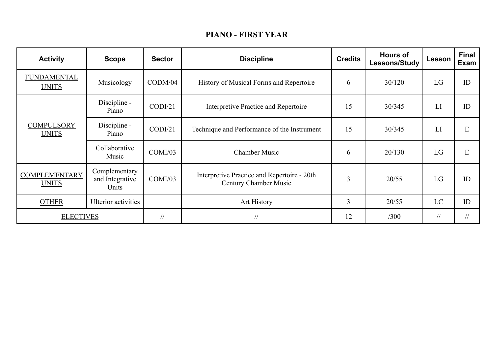## **PIANO - FIRST YEAR**

| <b>Activity</b>                      | <b>Scope</b>                              | <b>Sector</b>   | <b>Discipline</b>                                                    | <b>Credits</b> | <b>Hours of</b><br><b>Lessons/Study</b> | Lesson    | <b>Final</b><br><b>Exam</b> |
|--------------------------------------|-------------------------------------------|-----------------|----------------------------------------------------------------------|----------------|-----------------------------------------|-----------|-----------------------------|
| <b>FUNDAMENTAL</b><br><b>UNITS</b>   | Musicology                                | $\text{CDM}/04$ | History of Musical Forms and Repertoire                              | 6              | 30/120                                  | LG        | ID                          |
|                                      | Discipline -<br>Piano                     | $\text{CDI}/21$ | Interpretive Practice and Repertoire                                 | 15             | 30/345                                  | LI        | ID                          |
| <b>COMPULSORY</b><br><b>UNITS</b>    | Discipline -<br>Piano                     | $\text{CDI}/21$ | Technique and Performance of the Instrument                          | 15             | 30/345                                  | LI        | E                           |
|                                      | Collaborative<br>Music                    | COMI/03         | <b>Chamber Music</b>                                                 | 6              | 20/130                                  | LG        | E                           |
| <b>COMPLEMENTARY</b><br><b>UNITS</b> | Complementary<br>and Integrative<br>Units | COMI/03         | Interpretive Practice and Repertoire - 20th<br>Century Chamber Music | $\overline{3}$ | 20/55                                   | LG        | ID                          |
| <b>OTHER</b>                         | <b>Ulterior</b> activities                |                 | Art History                                                          | $\overline{3}$ | 20/55                                   | LC        | ID                          |
| <b>ELECTIVES</b>                     |                                           | $\frac{1}{2}$   | $\frac{1}{2}$                                                        | 12             | /300                                    | $\sqrt{}$ | $\frac{1}{2}$               |